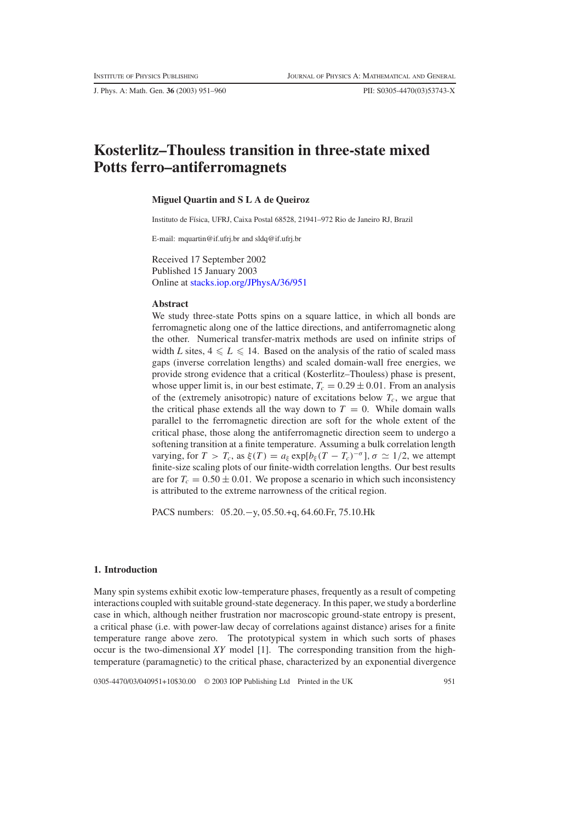J. Phys. A: Math. Gen. **36** (2003) 951–960 PII: S0305-4470(03)53743-X

# **Kosterlitz–Thouless transition in three-state mixed Potts ferro–antiferromagnets**

### **Miguel Quartin and S L A de Queiroz**

Instituto de Física, UFRJ, Caixa Postal 68528, 21941–972 Rio de Janeiro RJ, Brazil

E-mail: mquartin@if.ufrj.br and sldq@if.ufrj.br

Received 17 September 2002 Published 15 January 2003 Online at [stacks.iop.org/JPhysA/36/951](http://stacks.iop.org/ja/36/951)

#### **Abstract**

We study three-state Potts spins on a square lattice, in which all bonds are ferromagnetic along one of the lattice directions, and antiferromagnetic along the other. Numerical transfer-matrix methods are used on infinite strips of width *L* sites,  $4 \le L \le 14$ . Based on the analysis of the ratio of scaled mass gaps (inverse correlation lengths) and scaled domain-wall free energies, we provide strong evidence that a critical (Kosterlitz–Thouless) phase is present, whose upper limit is, in our best estimate,  $T_c = 0.29 \pm 0.01$ . From an analysis of the (extremely anisotropic) nature of excitations below  $T_c$ , we argue that the critical phase extends all the way down to  $T = 0$ . While domain walls parallel to the ferromagnetic direction are soft for the whole extent of the critical phase, those along the antiferromagnetic direction seem to undergo a softening transition at a finite temperature. Assuming a bulk correlation length varying, for  $T > T_c$ , as  $\xi(T) = a_{\xi} \exp[b_{\xi}(T - T_c)^{-\sigma}], \sigma \simeq 1/2$ , we attempt finite-size scaling plots of our finite-width correlation lengths. Our best results are for  $T_c = 0.50 \pm 0.01$ . We propose a scenario in which such inconsistency is attributed to the extreme narrowness of the critical region.

PACS numbers: 05.20.−y, 05.50.+q, 64.60.Fr, 75.10.Hk

#### **1. Introduction**

Many spin systems exhibit exotic low-temperature phases, frequently as a result of competing interactions coupled with suitable ground-state degeneracy. In this paper, we study a borderline case in which, although neither frustration nor macroscopic ground-state entropy is present, a critical phase (i.e. with power-law decay of correlations against distance) arises for a finite temperature range above zero. The prototypical system in which such sorts of phases occur is the two-dimensional *XY* model [1]. The corresponding transition from the hightemperature (paramagnetic) to the critical phase, characterized by an exponential divergence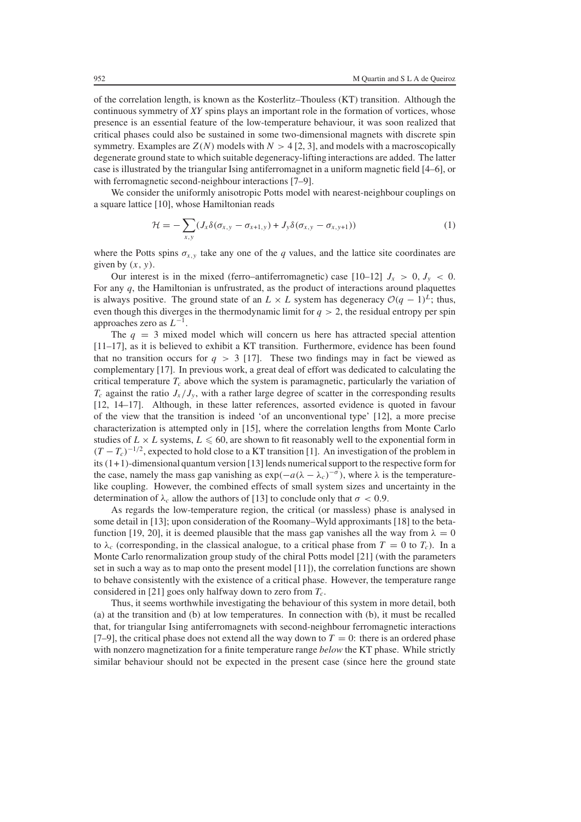of the correlation length, is known as the Kosterlitz–Thouless (KT) transition. Although the continuous symmetry of *XY* spins plays an important role in the formation of vortices, whose presence is an essential feature of the low-temperature behaviour, it was soon realized that critical phases could also be sustained in some two-dimensional magnets with discrete spin symmetry. Examples are  $Z(N)$  models with  $N > 4$  [2, 3], and models with a macroscopically degenerate ground state to which suitable degeneracy-lifting interactions are added. The latter case is illustrated by the triangular Ising antiferromagnet in a uniform magnetic field [4–6], or with ferromagnetic second-neighbour interactions [7–9].

<span id="page-1-0"></span>We consider the uniformly anisotropic Potts model with nearest-neighbour couplings on a square lattice [10], whose Hamiltonian reads

$$
\mathcal{H} = -\sum_{x,y} (J_x \delta(\sigma_{x,y} - \sigma_{x+1,y}) + J_y \delta(\sigma_{x,y} - \sigma_{x,y+1})) \tag{1}
$$

where the Potts spins  $\sigma_{x,y}$  take any one of the *q* values, and the lattice site coordinates are given by  $(x, y)$ .

Our interest is in the mixed (ferro–antiferromagnetic) case  $[10-12]$   $J_x > 0$ ,  $J_y < 0$ . For any *q*, the Hamiltonian is unfrustrated, as the product of interactions around plaquettes is always positive. The ground state of an  $L \times L$  system has degeneracy  $O(q-1)^L$ ; thus, even though this diverges in the thermodynamic limit for  $q > 2$ , the residual entropy per spin approaches zero as  $L^{-1}$ .

The  $q = 3$  mixed model which will concern us here has attracted special attention [11–17], as it is believed to exhibit a KT transition. Furthermore, evidence has been found that no transition occurs for  $q > 3$  [17]. These two findings may in fact be viewed as complementary [17]. In previous work, a great deal of effort was dedicated to calculating the critical temperature  $T_c$  above which the system is paramagnetic, particularly the variation of  $T_c$  against the ratio  $J_x / J_y$ , with a rather large degree of scatter in the corresponding results [12, 14–17]. Although, in these latter references, assorted evidence is quoted in favour of the view that the transition is indeed 'of an unconventional type' [12], a more precise characterization is attempted only in [15], where the correlation lengths from Monte Carlo studies of  $L \times L$  systems,  $L \leq 60$ , are shown to fit reasonably well to the exponential form in  $(T - T_c)^{-1/2}$ , expected to hold close to a KT transition [1]. An investigation of the problem in its  $(1+1)$ -dimensional quantum version [13] lends numerical support to the respective form for the case, namely the mass gap vanishing as  $exp(-a(\lambda - \lambda_c)^{-\sigma})$ , where  $\lambda$  is the temperaturelike coupling. However, the combined effects of small system sizes and uncertainty in the determination of  $\lambda_c$  allow the authors of [13] to conclude only that  $\sigma < 0.9$ .

As regards the low-temperature region, the critical (or massless) phase is analysed in some detail in [13]; upon consideration of the Roomany–Wyld approximants [18] to the betafunction [19, 20], it is deemed plausible that the mass gap vanishes all the way from  $\lambda = 0$ to  $\lambda_c$  (corresponding, in the classical analogue, to a critical phase from  $T = 0$  to  $T_c$ ). In a Monte Carlo renormalization group study of the chiral Potts model [21] (with the parameters set in such a way as to map onto the present model [11]), the correlation functions are shown to behave consistently with the existence of a critical phase. However, the temperature range considered in [21] goes only halfway down to zero from  $T_c$ .

Thus, it seems worthwhile investigating the behaviour of this system in more detail, both (a) at the transition and (b) at low temperatures. In connection with (b), it must be recalled that, for triangular Ising antiferromagnets with second-neighbour ferromagnetic interactions [7–9], the critical phase does not extend all the way down to  $T = 0$ ; there is an ordered phase with nonzero magnetization for a finite temperature range *below* the KT phase. While strictly similar behaviour should not be expected in the present case (since here the ground state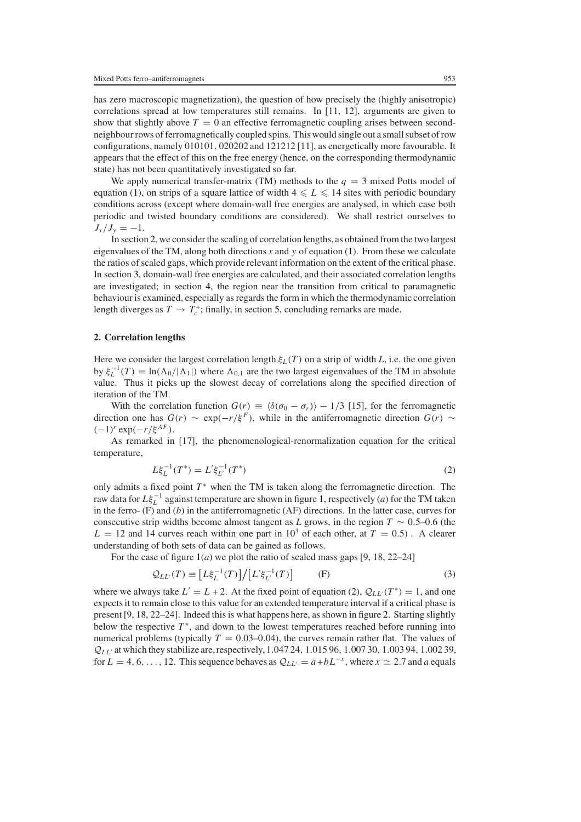has zero macroscopic magnetization), the question of how precisely the (highly anisotropic) correlations spread at low temperatures still remains. In [11, 12], arguments are given to show that slightly above  $T = 0$  an effective ferromagnetic coupling arises between secondneighbour rows of ferromagnetically coupled spins. This would single out a small subset of row configurations, namely 010101, 020202 and 121212 [11], as energetically more favourable. It appears that the effect of this on the free energy (hence, on the corresponding thermodynamic state) has not been quantitatively investigated so far.

We apply numerical transfer-matrix (TM) methods to the  $q = 3$  mixed Potts model of equation [\(1\)](#page-1-0), on strips of a square lattice of width  $4 \le L \le 14$  sites with periodic boundary conditions across (except where domain-wall free energies are analysed, in which case both periodic and twisted boundary conditions are considered). We shall restrict ourselves to  $J_x/J_y = -1.$ 

In section [2,](#page-2-0) we consider the scaling of correlation lengths, as obtained from the two largest eigenvalues of the TM, along both directions  $x$  and  $y$  of equation [\(1\)](#page-1-0). From these we calculate the ratios of scaled gaps, which provide relevant information on the extent of the critical phase. In section [3,](#page-4-0) domain-wall free energies are calculated, and their associated correlation lengths are investigated; in section [4,](#page-6-0) the region near the transition from critical to paramagnetic behaviour is examined, especially as regards the form in which the thermodynamic correlation length diverges as  $T \to T_c^+$ ; finally, in section [5,](#page-8-0) concluding remarks are made.

## <span id="page-2-0"></span>**2. Correlation lengths**

Here we consider the largest correlation length  $\xi_L(T)$  on a strip of width *L*, i.e. the one given by  $\xi_L^{-1}(T) = \ln(\Lambda_0/|\Lambda_1|)$  where  $\Lambda_{0,1}$  are the two largest eigenvalues of the TM in absolute value. Thus it picks up the slowest decay of correlations along the specified direction of iteration of the TM.

With the correlation function  $G(r) \equiv \langle \delta(\sigma_0 - \sigma_r) \rangle - 1/3$  [15], for the ferromagnetic direction one has  $G(r) \sim \exp(-r/\xi^F)$ , while in the antiferromagnetic direction  $G(r) \sim$  $(-1)^r$  exp $(-r/\xi^{AF})$ .

<span id="page-2-1"></span>As remarked in [17], the phenomenological-renormalization equation for the critical temperature,

$$
L\xi_L^{-1}(T^*) = L'\xi_{L'}^{-1}(T^*)
$$
\n(2)

only admits a fixed point  $T^*$  when the TM is taken along the ferromagnetic direction. The raw data for  $L\xi_L^{-1}$  against temperature are shown in figure [1,](#page-3-0) respectively (*a*) for the TM taken in the ferro- (F) and (*b*) in the antiferromagnetic (AF) directions. In the latter case, curves for consecutive strip widths become almost tangent as *L* grows, in the region  $T \sim 0.5{\text -}0.6$  (the  $L = 12$  and 14 curves reach within one part in  $10<sup>3</sup>$  of each other, at  $T = 0.5$ ). A clearer understanding of both sets of data can be gained as follows.

<span id="page-2-2"></span>For the case of figure [1\(](#page-3-0)*a*) we plot the ratio of scaled mass gaps [9, 18, 22–24]

$$
\mathcal{Q}_{LL'}(T) \equiv \left[ L\xi_L^{-1}(T) \right] / \left[ L'\xi_{L'}^{-1}(T) \right] \tag{3}
$$

where we always take  $L' = L + 2$ . At the fixed point of equation [\(2\)](#page-2-1),  $Q_{LL'}(T^*) = 1$ , and one expects it to remain close to this value for an extended temperature interval if a critical phase is present [9, 18, 22–24]. Indeed this is what happens here, as shown in figure [2.](#page-3-1) Starting slightly below the respective  $T^*$ , and down to the lowest temperatures reached before running into numerical problems (typically  $T = 0.03{\text -}0.04$ ), the curves remain rather flat. The values of *<sup>Q</sup>*LL at which they stabilize are,respectively, 1.047 24, <sup>1</sup>.015 96, <sup>1</sup>.007 30, <sup>1</sup>.003 94, <sup>1</sup>.002 39, for  $L = 4, 6, \ldots, 12$ . This sequence behaves as  $\mathcal{Q}_{LL'} = a + bL^{-x}$ , where  $x \simeq 2.7$  and *a* equals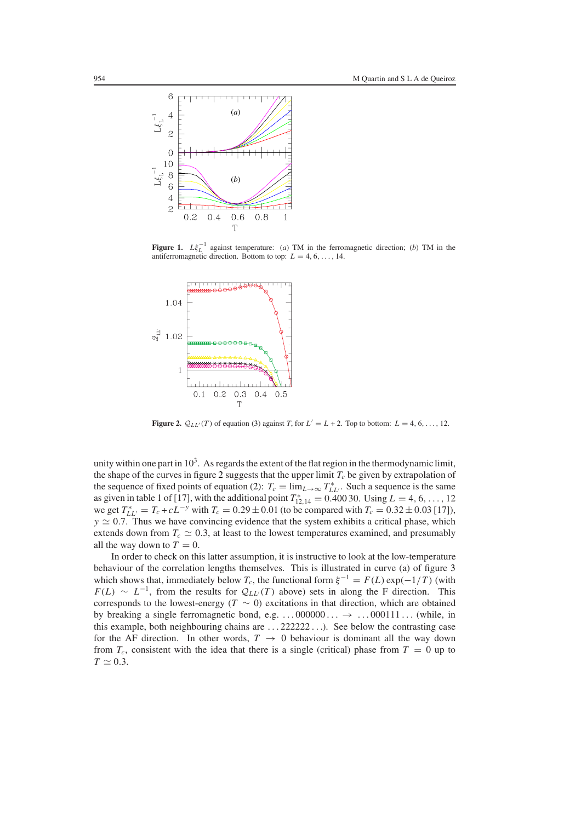

<span id="page-3-0"></span>**Figure 1.**  $Lf_L^{-1}$  against temperature: (*a*) TM in the ferromagnetic direction; (*b*) TM in the antiferromagnetic direction. Bottom to top:  $L = 4, 6, ..., 14$ .



<span id="page-3-1"></span>**Figure 2.**  $Q_{LL'}(T)$  of equation [\(3\)](#page-2-2) against *T*, for  $L' = L + 2$ . Top to bottom:  $L = 4, 6, \ldots, 12$ .

unity within one part in  $10<sup>3</sup>$ . As regards the extent of the flat region in the thermodynamic limit, the shape of the curves in figure [2](#page-3-1) suggests that the upper limit  $T_c$  be given by extrapolation of the sequence of fixed points of equation [\(2\)](#page-2-1):  $T_c = \lim_{L \to \infty} T_{LL}^*$ . Such a sequence is the same as given in table 1 of [17], with the additional point  $T_{12,14}^* = 0.40030$ . Using  $L = 4, 6, ..., 12$ we get  $T_{LL'}^* = T_c + cL^{-y}$  with  $T_c = 0.29 \pm 0.01$  (to be compared with  $T_c = 0.32 \pm 0.03$  [17]),  $y \approx 0.7$ . Thus we have convincing evidence that the system exhibits a critical phase, which extends down from  $T_c \simeq 0.3$ , at least to the lowest temperatures examined, and presumably all the way down to  $T = 0$ .

In order to check on this latter assumption, it is instructive to look at the low-temperature behaviour of the correlation lengths themselves. This is illustrated in curve (a) of figure [3](#page-4-1) which shows that, immediately below  $T_c$ , the functional form  $\xi^{-1} = F(L) \exp(-1/T)$  (with  $F(L) \sim L^{-1}$ , from the results for  $\mathcal{Q}_{LL'}(T)$  above) sets in along the F direction. This corresponds to the lowest-energy ( $T \sim 0$ ) excitations in that direction, which are obtained by breaking a single ferromagnetic bond, e.g.  $\ldots$  000000  $\ldots \rightarrow \ldots$  000111  $\ldots$  (while, in this example, both neighbouring chains are ... 222222 ...). See below the contrasting case for the AF direction. In other words,  $T \rightarrow 0$  behaviour is dominant all the way down from  $T_c$ , consistent with the idea that there is a single (critical) phase from  $T = 0$  up to  $T \simeq 0.3$ .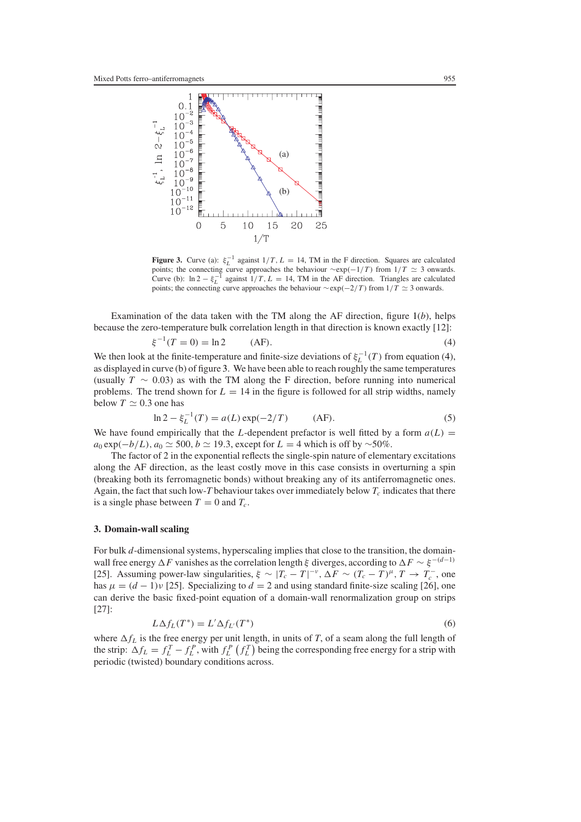

<span id="page-4-1"></span>**Figure 3.** Curve (a):  $\xi_L^{-1}$  against  $1/T$ ,  $L = 14$ , TM in the F direction. Squares are calculated points; the connecting curve approaches the behaviour  $\sim \exp(-1/T)$  from  $1/T \simeq 3$  onwards. Curve (b):  $\ln 2 - \xi_L^{-1}$  against  $1/T$ ,  $L = 14$ , TM in the AF direction. Triangles are calculated points; the connecting curve approaches the behaviour  $\sim$ exp( $-2/T$ ) from  $1/T \simeq 3$  onwards.

<span id="page-4-2"></span>Examination of the data taken with the TM along the AF direction, figure [1\(](#page-3-0)*b*), helps because the zero-temperature bulk correlation length in that direction is known exactly [12]:

$$
\xi^{-1}(T=0) = \ln 2 \qquad (AF). \tag{4}
$$

We then look at the finite-temperature and finite-size deviations of  $\xi_L^{-1}(T)$  from equation [\(4\)](#page-4-2), as displayed in curve (b) of figure [3.](#page-4-1) We have been able to reach roughly the same temperatures (usually  $T \sim 0.03$ ) as with the TM along the F direction, before running into numerical problems. The trend shown for  $L = 14$  in the figure is followed for all strip widths, namely below  $T \simeq 0.3$  one has

$$
\ln 2 - \xi_L^{-1}(T) = a(L) \exp(-2/T) \qquad (AF).
$$
 (5)

We have found empirically that the L-dependent prefactor is well fitted by a form  $a(L)$  =  $a_0 \exp(-b/L)$ ,  $a_0 \simeq 500$ ,  $b \simeq 19.3$ , except for  $L = 4$  which is off by ~50%.

The factor of 2 in the exponential reflects the single-spin nature of elementary excitations along the AF direction, as the least costly move in this case consists in overturning a spin (breaking both its ferromagnetic bonds) without breaking any of its antiferromagnetic ones. Again, the fact that such low-*T* behaviour takes over immediately below  $T_c$  indicates that there is a single phase between  $T = 0$  and  $T_c$ .

## <span id="page-4-0"></span>**3. Domain-wall scaling**

For bulk d-dimensional systems, hyperscaling implies that close to the transition, the domainwall free energy  $\Delta F$  vanishes as the correlation length ξ diverges, according to  $\Delta F \sim \xi^{-(d-1)}$ [25]. Assuming power-law singularities,  $\xi \sim |T_c - T|^{-\nu}$ ,  $\Delta F \sim (T_c - T)^{\mu}$ ,  $T \to T_c^{-}$ , one has  $\mu = (d - 1)v$  [25]. Specializing to  $d = 2$  and using standard finite-size scaling [26], one can derive the basic fixed-point equation of a domain-wall renormalization group on strips [27]:

$$
L\Delta f_L(T^*) = L'\Delta f_{L'}(T^*)
$$
\n<sup>(6)</sup>

<span id="page-4-3"></span>where  $\Delta f_L$  is the free energy per unit length, in units of *T*, of a seam along the full length of the strip:  $\Delta f_L = f_L^T - f_L^P$ , with  $f_L^P(f_L^T)$  being the corresponding free energy for a strip with periodic (twisted) boundary conditions across.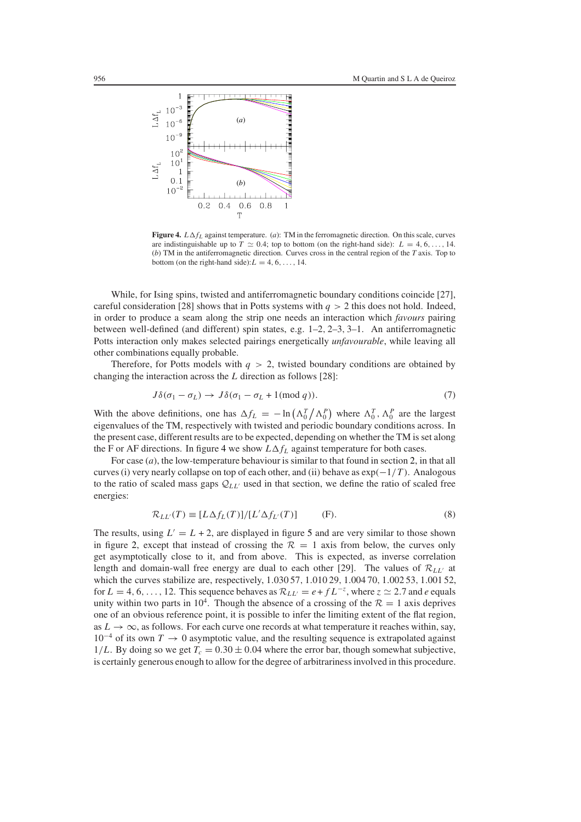

<span id="page-5-0"></span>**Figure 4.**  $L \Delta f_L$  against temperature. (*a*): TM in the ferromagnetic direction. On this scale, curves are indistinguishable up to  $T \simeq 0.4$ ; top to bottom (on the right-hand side):  $L = 4, 6, \ldots, 14$ . (*b*) TM in the antiferromagnetic direction. Curves cross in the central region of the *T* axis. Top to bottom (on the right-hand side):  $L = 4, 6, \ldots, 14$ .

While, for Ising spins, twisted and antiferromagnetic boundary conditions coincide [27], careful consideration [28] shows that in Potts systems with  $q > 2$  this does not hold. Indeed, in order to produce a seam along the strip one needs an interaction which *favours* pairing between well-defined (and different) spin states, e.g. 1–2, 2–3, 3–1. An antiferromagnetic Potts interaction only makes selected pairings energetically *unfavourable*, while leaving all other combinations equally probable.

<span id="page-5-2"></span>Therefore, for Potts models with  $q > 2$ , twisted boundary conditions are obtained by changing the interaction across the  $L$  direction as follows [28]:

$$
J\delta(\sigma_1 - \sigma_L) \to J\delta(\sigma_1 - \sigma_L + 1 \text{ (mod } q)). \tag{7}
$$

With the above definitions, one has  $\Delta f_L = -\ln(\Lambda_0^T/\Lambda_0^P)$  where  $\Lambda_0^T$ ,  $\Lambda_0^P$  are the largest eigenvalues of the TM, respectively with twisted and periodic boundary conditions across. In the present case, different results are to be expected, depending on whether the TM is set along the F or AF directions. In figure [4](#page-5-0) we show  $L\Delta f_L$  against temperature for both cases.

For case (*a*), the low-temperature behaviour is similar to that found in section [2,](#page-2-0) in that all curves (i) very nearly collapse on top of each other, and (ii) behave as  $\exp(-1/T)$ . Analogous to the ratio of scaled mass gaps  $Q_{LL'}$  used in that section, we define the ratio of scaled free energies:

$$
\mathcal{R}_{LL'}(T) \equiv [L\Delta f_L(T)]/[L'\Delta f_{L'}(T)] \tag{8}
$$

<span id="page-5-1"></span>The results, using  $L' = L + 2$ , are displayed in figure [5](#page-6-1) and are very similar to those shown in figure [2,](#page-3-1) except that instead of crossing the  $\mathcal{R} = 1$  axis from below, the curves only get asymptotically close to it, and from above. This is expected, as inverse correlation length and domain-wall free energy are dual to each other [29]. The values of  $\mathcal{R}_{LL'}$  at which the curves stabilize are, respectively, 1.030 57, 1.010 29, 1.004 70, 1.002 53, 1.001 52, for  $L = 4, 6, \ldots, 12$ . This sequence behaves as  $\mathcal{R}_{LL'} = e + f L^{-z}$ , where  $z \simeq 2.7$  and *e* equals unity within two parts in 10<sup>4</sup>. Though the absence of a crossing of the  $R = 1$  axis deprives one of an obvious reference point, it is possible to infer the limiting extent of the flat region, as  $L \to \infty$ , as follows. For each curve one records at what temperature it reaches within, say,  $10^{-4}$  of its own  $T \to 0$  asymptotic value, and the resulting sequence is extrapolated against  $1/L$ . By doing so we get  $T_c = 0.30 \pm 0.04$  where the error bar, though somewhat subjective, is certainly generous enough to allow for the degree of arbitrariness involved in this procedure.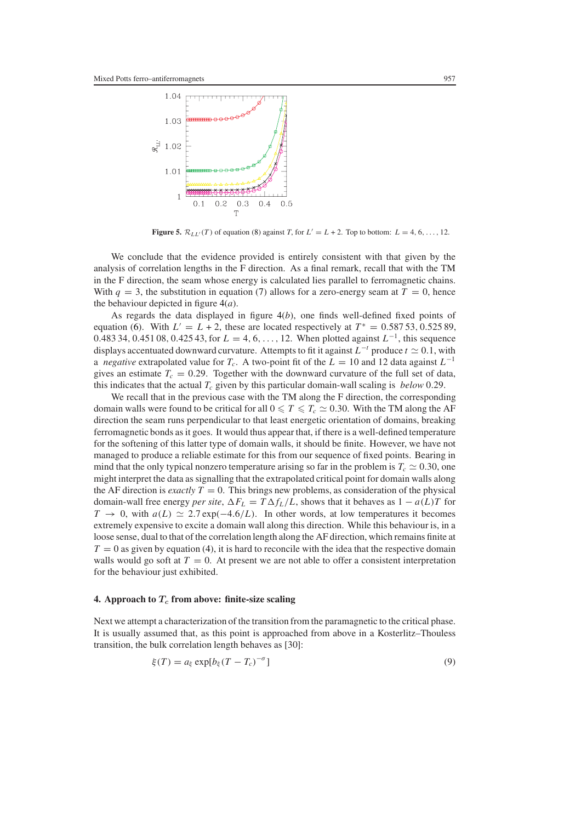

**Figure 5.**  $\mathcal{R}_{LL'}(T)$  of equation [\(8\)](#page-5-1) against *T*, for  $L' = L + 2$ . Top to bottom:  $L = 4, 6, \ldots, 12$ .

<span id="page-6-1"></span>We conclude that the evidence provided is entirely consistent with that given by the analysis of correlation lengths in the F direction. As a final remark, recall that with the TM in the F direction, the seam whose energy is calculated lies parallel to ferromagnetic chains. With  $q = 3$ , the substitution in equation [\(7\)](#page-5-2) allows for a zero-energy seam at  $T = 0$ , hence the behaviour depicted in figure [4\(](#page-5-0)*a*).

As regards the data displayed in figure [4\(](#page-5-0)*b*), one finds well-defined fixed points of equation [\(6\)](#page-4-3). With  $L' = L + 2$ , these are located respectively at  $T^* = 0.58753, 0.52589$ , 0.483 34, 0.451 08, 0.425 43, for  $L = 4, 6, ..., 12$ . When plotted against  $L^{-1}$ , this sequence displays accentuated downward curvature. Attempts to fit it against  $L^{-t}$  produce  $t \simeq 0.1$ , with a *negative* extrapolated value for  $T_c$ . A two-point fit of the  $L = 10$  and 12 data against  $L^{-1}$ gives an estimate  $T_c = 0.29$ . Together with the downward curvature of the full set of data, this indicates that the actual  $T_c$  given by this particular domain-wall scaling is *below* 0.29.

We recall that in the previous case with the TM along the F direction, the corresponding domain walls were found to be critical for all  $0 \le T \le T_c \approx 0.30$ . With the TM along the AF direction the seam runs perpendicular to that least energetic orientation of domains, breaking ferromagnetic bonds as it goes. It would thus appear that, if there is a well-defined temperature for the softening of this latter type of domain walls, it should be finite. However, we have not managed to produce a reliable estimate for this from our sequence of fixed points. Bearing in mind that the only typical nonzero temperature arising so far in the problem is  $T_c \simeq 0.30$ , one might interpret the data as signalling that the extrapolated critical point for domain walls along the AF direction is *exactly*  $T = 0$ . This brings new problems, as consideration of the physical domain-wall free energy *per site*,  $\Delta F_L = T \Delta f_L/L$ , shows that it behaves as  $1 - a(L)T$  for  $T \to 0$ , with  $a(L) \simeq 2.7 \exp(-4.6/L)$ . In other words, at low temperatures it becomes extremely expensive to excite a domain wall along this direction. While this behaviour is, in a loose sense, dual to that of the correlation length along the AF direction, which remains finite at  $T = 0$  as given by equation [\(4\)](#page-4-2), it is hard to reconcile with the idea that the respective domain walls would go soft at  $T = 0$ . At present we are not able to offer a consistent interpretation for the behaviour just exhibited.

#### <span id="page-6-0"></span>**4.** Approach to  $T_c$  from above: finite-size scaling

Next we attempt a characterization of the transition from the paramagnetic to the critical phase. It is usually assumed that, as this point is approached from above in a Kosterlitz–Thouless transition, the bulk correlation length behaves as [30]:

$$
\xi(T) = a_{\xi} \exp[b_{\xi}(T - T_c)^{-\sigma}] \tag{9}
$$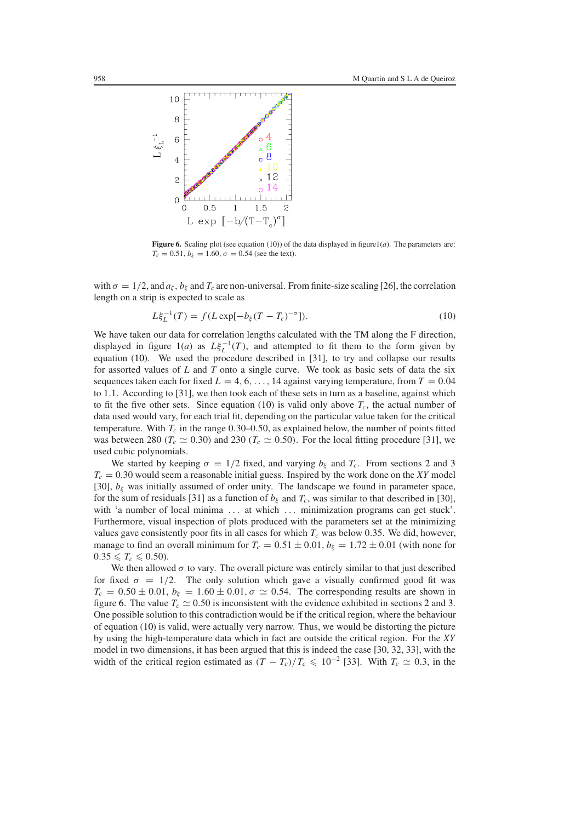

<span id="page-7-1"></span>**Figure 6.** Scaling plot (see equation [\(10\)](#page-7-0)) of the data displayed in figur[e1\(](#page-3-0)*a*). The parameters are:  $T_c = 0.51, b_{\xi} = 1.60, \sigma = 0.54$  (see the text).

<span id="page-7-0"></span>with  $\sigma = 1/2$ , and  $a_{\xi}$ ,  $b_{\xi}$  and  $T_c$  are non-universal. From finite-size scaling [26], the correlation length on a strip is expected to scale as

$$
L\xi_L^{-1}(T) = f(L \exp[-b_{\xi}(T - T_c)^{-\sigma}]).
$$
\n(10)

We have taken our data for correlation lengths calculated with the TM along the F direction, displayed in figure  $1(a)$  $1(a)$  as  $L\xi_L^{-1}(T)$ , and attempted to fit them to the form given by equation [\(10\)](#page-7-0). We used the procedure described in [31], to try and collapse our results for assorted values of *L* and *T* onto a single curve. We took as basic sets of data the six sequences taken each for fixed  $L = 4, 6, \ldots, 14$  against varying temperature, from  $T = 0.04$ to 1.1. According to [31], we then took each of these sets in turn as a baseline, against which to fit the five other sets. Since equation [\(10\)](#page-7-0) is valid only above  $T_c$ , the actual number of data used would vary, for each trial fit, depending on the particular value taken for the critical temperature. With  $T_c$  in the range 0.30–0.50, as explained below, the number of points fitted was between 280 ( $T_c \approx 0.30$ ) and 230 ( $T_c \approx 0.50$ ). For the local fitting procedure [31], we used cubic polynomials.

We started by keeping  $\sigma = 1/2$  $\sigma = 1/2$  fixed, and varying  $b_{\xi}$  and  $T_c$ . From sections 2 and [3](#page-4-0)  $T_c = 0.30$  would seem a reasonable initial guess. Inspired by the work done on the *XY* model [30],  $b_{\varepsilon}$  was initially assumed of order unity. The landscape we found in parameter space, for the sum of residuals [31] as a function of  $b<sub>k</sub>$  and  $T<sub>c</sub>$ , was similar to that described in [30], with 'a number of local minima ... at which ... minimization programs can get stuck'. Furthermore, visual inspection of plots produced with the parameters set at the minimizing values gave consistently poor fits in all cases for which  $T_c$  was below 0.35. We did, however, manage to find an overall minimum for  $T_c = 0.51 \pm 0.01$ ,  $b_{\xi} = 1.72 \pm 0.01$  (with none for  $0.35 \leqslant T_c \leqslant 0.50$ ).

We then allowed  $\sigma$  to vary. The overall picture was entirely similar to that just described for fixed  $\sigma = 1/2$ . The only solution which gave a visually confirmed good fit was  $T_c = 0.50 \pm 0.01$ ,  $b_{\xi} = 1.60 \pm 0.01$ ,  $\sigma \simeq 0.54$ . The corresponding results are shown in figure [6.](#page-7-1) The value  $T_c \simeq 0.50$  is inconsistent with the evidence exhibited in sections [2](#page-2-0) and [3.](#page-4-0) One possible solution to this contradiction would be if the critical region, where the behaviour of equation [\(10\)](#page-7-0) is valid, were actually very narrow. Thus, we would be distorting the picture by using the high-temperature data which in fact are outside the critical region. For the *XY* model in two dimensions, it has been argued that this is indeed the case [30, 32, 33], with the width of the critical region estimated as  $(T - T_c)/T_c \le 10^{-2}$  [33]. With  $T_c \simeq 0.3$ , in the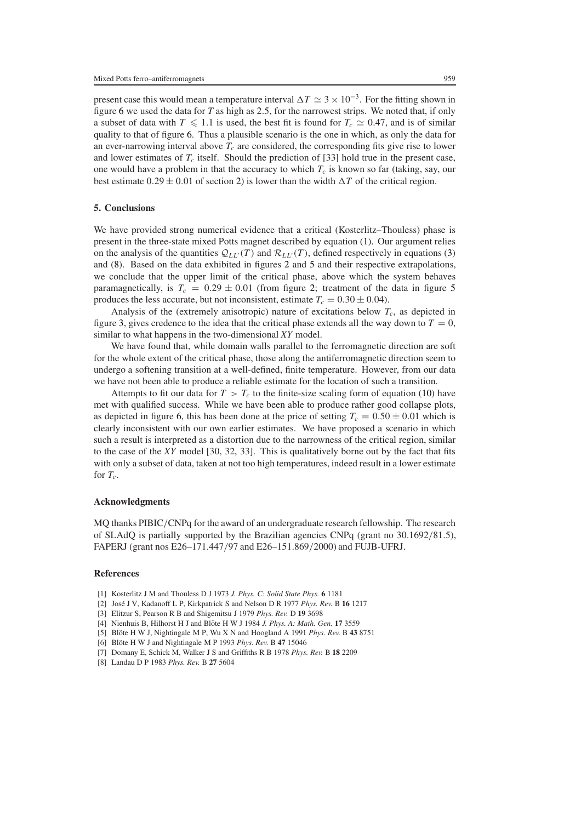present case this would mean a temperature interval  $\Delta T \simeq 3 \times 10^{-3}$ . For the fitting shown in figure [6](#page-7-1) we used the data for  $T$  as high as 2.5, for the narrowest strips. We noted that, if only a subset of data with  $T \leq 1.1$  is used, the best fit is found for  $T_c \simeq 0.47$ , and is of similar quality to that of figure [6.](#page-7-1) Thus a plausible scenario is the one in which, as only the data for an ever-narrowing interval above  $T_c$  are considered, the corresponding fits give rise to lower and lower estimates of  $T_c$  itself. Should the prediction of [33] hold true in the present case, one would have a problem in that the accuracy to which  $T_c$  is known so far (taking, say, our best estimate  $0.29 \pm 0.01$  of section [2\)](#page-2-0) is lower than the width  $\Delta T$  of the critical region.

# <span id="page-8-0"></span>**5. Conclusions**

We have provided strong numerical evidence that a critical (Kosterlitz–Thouless) phase is present in the three-state mixed Potts magnet described by equation [\(1\)](#page-1-0). Our argument relies on the analysis of the quantities  $Q_{LL}(T)$  and  $\mathcal{R}_{LL}(T)$ , defined respectively in equations [\(3\)](#page-2-2) and [\(8\)](#page-5-1). Based on the data exhibited in figures [2](#page-3-1) and [5](#page-6-1) and their respective extrapolations, we conclude that the upper limit of the critical phase, above which the system behaves paramagnetically, is  $T_c = 0.29 \pm 0.01$  (from figure [2;](#page-3-1) treatment of the data in figure [5](#page-6-1) produces the less accurate, but not inconsistent, estimate  $T_c = 0.30 \pm 0.04$ .

Analysis of the (extremely anisotropic) nature of excitations below  $T_c$ , as depicted in figure [3,](#page-4-1) gives credence to the idea that the critical phase extends all the way down to  $T = 0$ , similar to what happens in the two-dimensional *XY* model.

We have found that, while domain walls parallel to the ferromagnetic direction are soft for the whole extent of the critical phase, those along the antiferromagnetic direction seem to undergo a softening transition at a well-defined, finite temperature. However, from our data we have not been able to produce a reliable estimate for the location of such a transition.

Attempts to fit our data for  $T > T_c$  to the finite-size scaling form of equation [\(10\)](#page-7-0) have met with qualified success. While we have been able to produce rather good collapse plots, as depicted in figure [6,](#page-7-1) this has been done at the price of setting  $T_c = 0.50 \pm 0.01$  which is clearly inconsistent with our own earlier estimates. We have proposed a scenario in which such a result is interpreted as a distortion due to the narrowness of the critical region, similar to the case of the *XY* model [30, 32, 33]. This is qualitatively borne out by the fact that fits with only a subset of data, taken at not too high temperatures, indeed result in a lower estimate for  $T_c$ .

### **Acknowledgments**

MO thanks PIBIC/CNPq for the award of an undergraduate research fellowship. The research of SLAdQ is partially supported by the Brazilian agencies CNPq (grant no 30.1692/81.5), FAPERJ (grant nos E26–171.447/97 and E26–151.869/2000) and FUJB-UFRJ.

## **References**

- [1] Kosterlitz J M and Thouless D J 1973 *J. Phys. C: Solid State Phys.* **6** 1181
- [2] Jose J ´ V, Kadanoff L P, Kirkpatrick S and Nelson D R 1977 *Phys. Rev.* B **16** 1217
- [3] Elitzur S, Pearson R B and Shigemitsu J 1979 *Phys. Rev.* D **19** 3698
- [4] Nienhuis B, Hilhorst H J and Blöte H W J 1984 J. Phys. A: Math. Gen. 17 3559
- [5] Blote H W J, Nightingale M P, Wu X N and Hoogland A 1991 *Phys. Rev.* B  $438751$
- [6] Blöte H W J and Nightingale M P 1993 Phys. Rev. B 47 15046
- [7] Domany E, Schick M, Walker J S and Griffiths R B 1978 *Phys. Rev.* B **18** 2209
- [8] Landau D P 1983 *Phys. Rev.* B **27** 5604